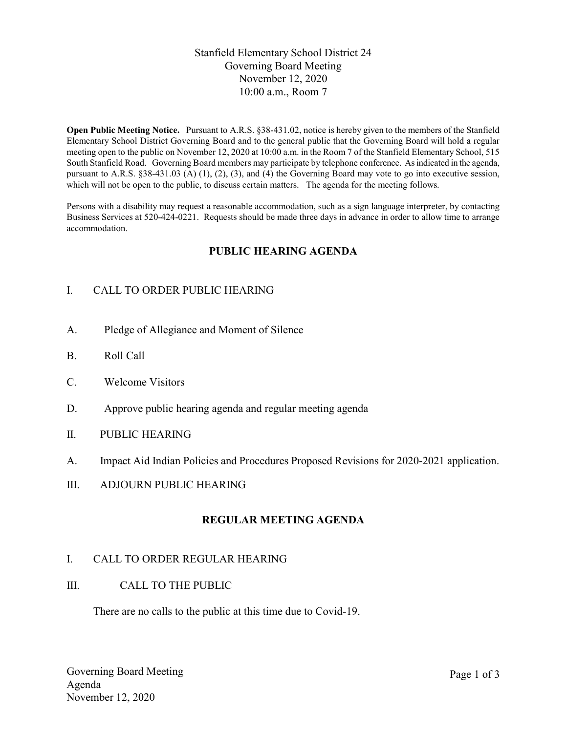# Stanfield Elementary School District 24 Governing Board Meeting November 12, 2020 10:00 a.m., Room 7

Open Public Meeting Notice. Pursuant to A.R.S. §38-431.02, notice is hereby given to the members of the Stanfield Elementary School District Governing Board and to the general public that the Governing Board will hold a regular meeting open to the public on November 12, 2020 at 10:00 a.m. in the Room 7 of the Stanfield Elementary School, 515 South Stanfield Road. Governing Board members may participate by telephone conference. As indicated in the agenda, pursuant to A.R.S. §38-431.03 (A) (1), (2), (3), and (4) the Governing Board may vote to go into executive session, which will not be open to the public, to discuss certain matters. The agenda for the meeting follows.

Persons with a disability may request a reasonable accommodation, such as a sign language interpreter, by contacting Business Services at 520-424-0221. Requests should be made three days in advance in order to allow time to arrange accommodation.

# PUBLIC HEARING AGENDA

# I. CALL TO ORDER PUBLIC HEARING

- A. Pledge of Allegiance and Moment of Silence
- B. Roll Call
- C. Welcome Visitors
- D. Approve public hearing agenda and regular meeting agenda
- II. PUBLIC HEARING
- A. Impact Aid Indian Policies and Procedures Proposed Revisions for 2020-2021 application.
- III. ADJOURN PUBLIC HEARING

## REGULAR MEETING AGENDA

## I. CALL TO ORDER REGULAR HEARING

III. CALL TO THE PUBLIC

There are no calls to the public at this time due to Covid-19.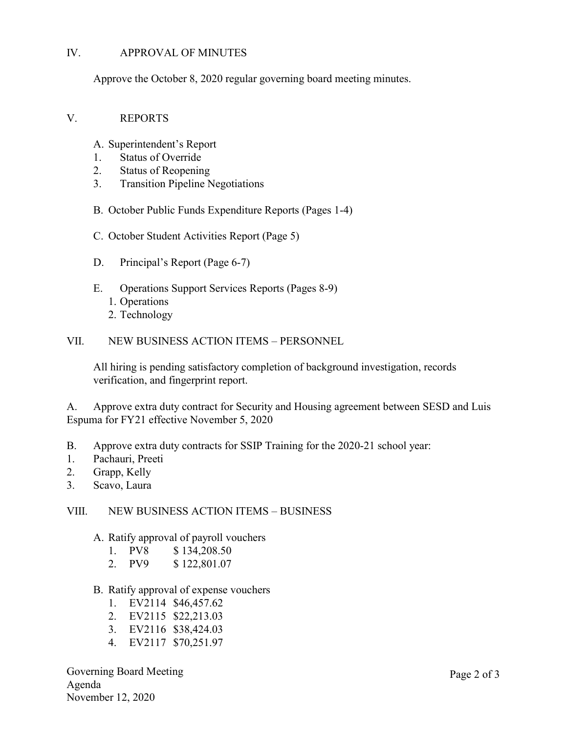## IV. APPROVAL OF MINUTES

Approve the October 8, 2020 regular governing board meeting minutes.

#### V. REPORTS

- A. Superintendent's Report
- 1. Status of Override
- 2. Status of Reopening
- 3. Transition Pipeline Negotiations
- B. October Public Funds Expenditure Reports (Pages 1-4)
- C. October Student Activities Report (Page 5)
- D. Principal's Report (Page 6-7)
- E. Operations Support Services Reports (Pages 8-9)
	- 1. Operations
	- 2. Technology

VII. NEW BUSINESS ACTION ITEMS – PERSONNEL

All hiring is pending satisfactory completion of background investigation, records verification, and fingerprint report.

A. Approve extra duty contract for Security and Housing agreement between SESD and Luis Espuma for FY21 effective November 5, 2020

- B. Approve extra duty contracts for SSIP Training for the 2020-21 school year:
- 1. Pachauri, Preeti
- 2. Grapp, Kelly
- 3. Scavo, Laura

#### VIII. NEW BUSINESS ACTION ITEMS – BUSINESS

A. Ratify approval of payroll vouchers

| 1. | PV8 | \$134,208.50 |
|----|-----|--------------|
|----|-----|--------------|

- 2. PV9 \$ 122,801.07
- B. Ratify approval of expense vouchers
	- 1. EV2114 \$46,457.62
	- 2. EV2115 \$22,213.03
	- 3. EV2116 \$38,424.03
	- 4. EV2117 \$70,251.97

Governing Board Meeting Agenda November 12, 2020